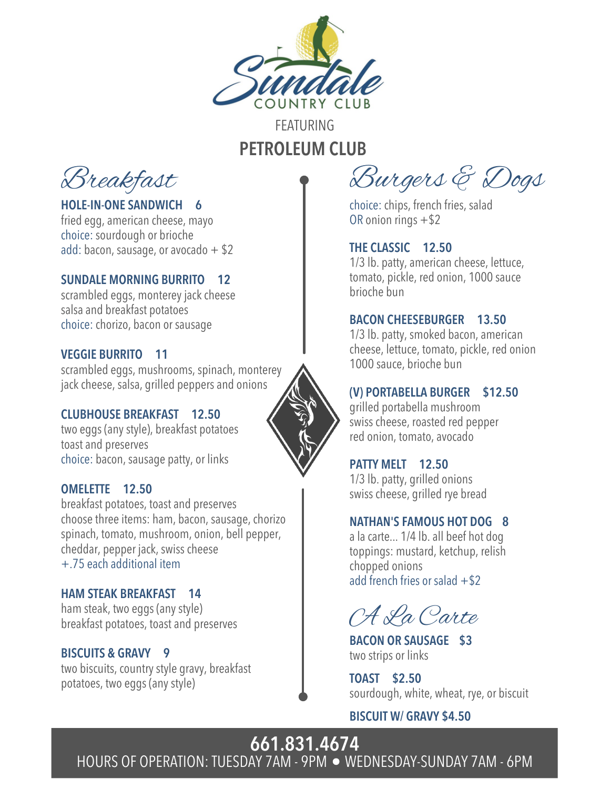

## FEATURING PETROLEUM CLUB

Breakfast

HOLE-IN-ONE SANDWICH 6 fried egg, american cheese, mayo choice: sourdough or brioche

#### SUNDALE MORNING BURRITO 12

add: bacon, sausage, or avocado  $+$  \$2

scrambled eggs, monterey jack cheese salsa and breakfast potatoes choice: chorizo, bacon or sausage

#### VEGGIE BURRITO 11

scrambled eggs, mushrooms, spinach, monterey jack cheese, salsa, grilled peppers and onions

#### CLUBHOUSE BREAKFAST 12.50

two eggs (anystyle), breakfast potatoes toast and preserves choice: bacon, sausage patty, or links

#### OMELETTE 12.50

breakfast potatoes, toast and preserves choose three items: ham, bacon, sausage, chorizo spinach, tomato, mushroom, onion, bell pepper, cheddar, pepper jack, swiss cheese +.75 each additional item

#### HAM STEAK BREAKFAST 14

ham steak, two eggs (anystyle) breakfast potatoes, toast and preserves

#### BISCUITS & GRAVY 9

two biscuits, country style gravy, breakfast potatoes, two eggs (anystyle)

Burgers & Dogs

choice: chips, french fries, salad OR onion rings +\$2

#### THE CLASSIC 12.50

1/3 lb. patty, american cheese, lettuce, tomato, pickle, red onion, 1000 sauce brioche bun

#### BACON CHEESEBURGER 13.50

1/3 lb. patty, smoked bacon, american cheese, lettuce, tomato, pickle, red onion 1000 sauce, brioche bun

#### (V) PORTABELLA BURGER \$12.50

grilled portabella mushroom swiss cheese, roasted red pepper red onion, tomato, avocado

#### PATTY MELT 12.50

1/3 lb. patty, grilled onions swiss cheese, grilled rye bread

#### NATHAN'S FAMOUS HOT DOG 8

a la carte... 1/4 lb. all beef hot dog toppings: mustard, ketchup, relish chopped onions add french fries or salad  $+ $2$ 

A La Carte

BACON OR SAUSAGE \$3 two strips or links

TOAST \$2.50 sourdough, white, wheat, rye, or biscuit

BISCUIT W/ GRAVY \$4.50

661.831.4674 HOURS OF OPERATION: TUESDAY 7AM - 9PM · WEDNESDAY-SUNDAY 7AM - 6PM